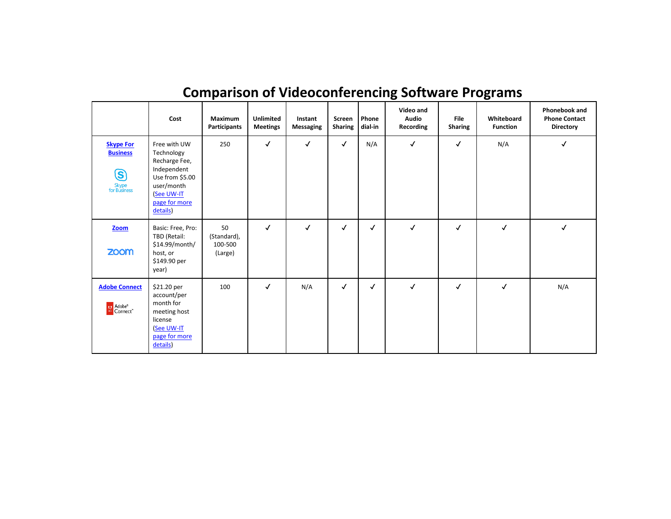|                                                                          | Cost                                                                                                                                   | <b>Maximum</b><br>Participants          | <b>Unlimited</b><br><b>Meetings</b> | Instant<br>Messaging | Screen<br>Sharing | Phone<br>dial-in | Video and<br><b>Audio</b><br>Recording | <b>File</b><br><b>Sharing</b> | Whiteboard<br><b>Function</b> | Phonebook and<br><b>Phone Contact</b><br><b>Directory</b> |
|--------------------------------------------------------------------------|----------------------------------------------------------------------------------------------------------------------------------------|-----------------------------------------|-------------------------------------|----------------------|-------------------|------------------|----------------------------------------|-------------------------------|-------------------------------|-----------------------------------------------------------|
| <b>Skype For</b><br><b>Business</b><br><u>ල</u><br>Skype<br>for Business | Free with UW<br>Technology<br>Recharge Fee,<br>Independent<br>Use from \$5.00<br>user/month<br>(See UW-IT<br>page for more<br>details) | 250                                     | $\checkmark$                        | $\checkmark$         | $\checkmark$      | N/A              | $\checkmark$                           | ✓                             | N/A                           | √                                                         |
| Zoom<br><b>ZOOM</b>                                                      | Basic: Free, Pro:<br>TBD (Retail:<br>\$14.99/month/<br>host, or<br>\$149.90 per<br>year)                                               | 50<br>(Standard),<br>100-500<br>(Large) | $\checkmark$                        | ✓                    | $\checkmark$      | ✓                | $\checkmark$                           | $\checkmark$                  | $\checkmark$                  | ✓                                                         |
| <b>Adobe Connect</b><br>M Adobe <sup>®</sup><br>Connect <sup>™</sup>     | \$21.20 per<br>account/per<br>month for<br>meeting host<br>license<br>(See UW-IT<br>page for more<br>details)                          | 100                                     | $\checkmark$                        | N/A                  | $\checkmark$      | ✓                | $\checkmark$                           | √                             | √                             | N/A                                                       |

## **Comparison of Videoconferencing Software Programs**